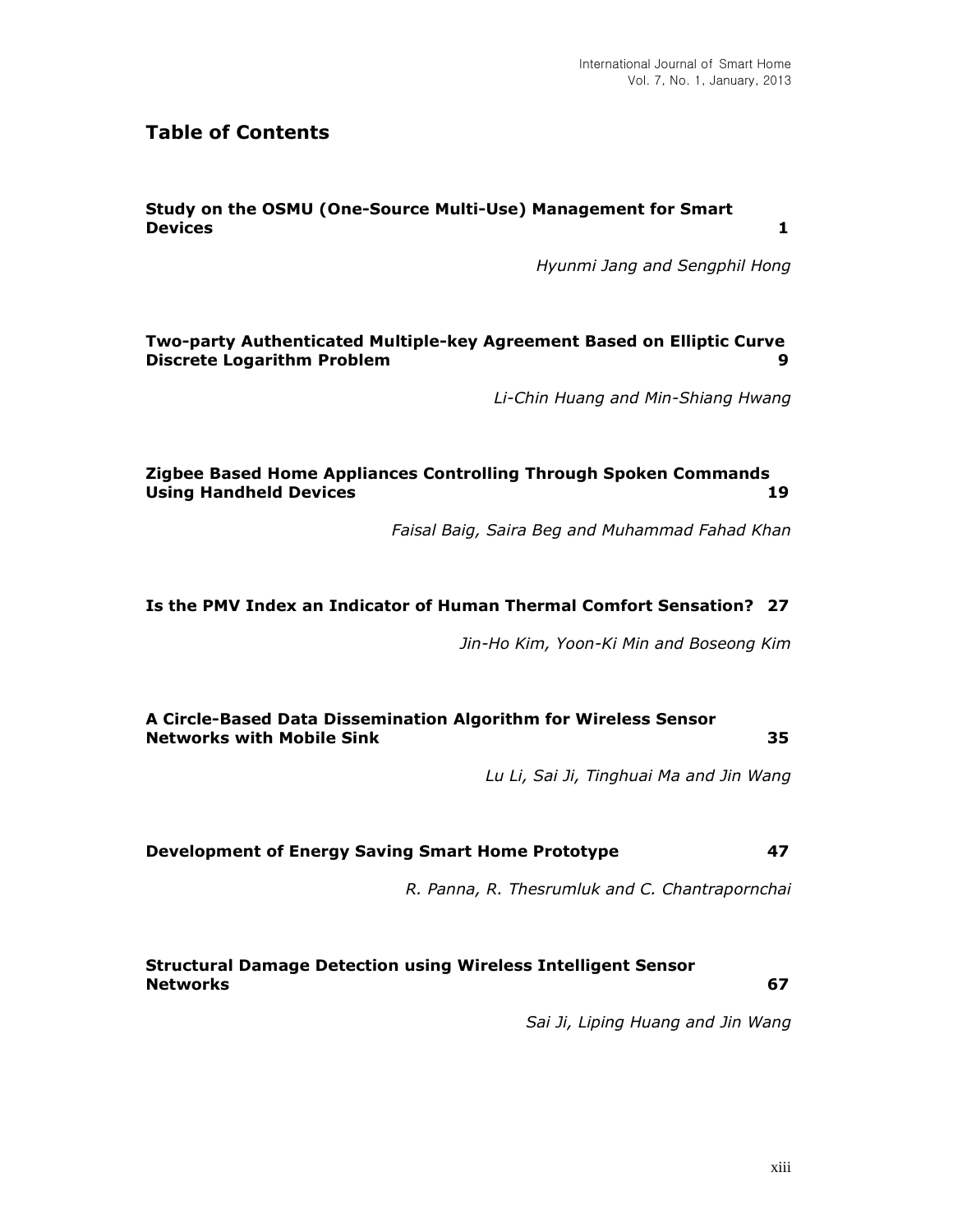# **Table of Contents**

## **Study on the OSMU (One-Source Multi-Use) Management for Smart Devices 1**

*Hyunmi Jang and Sengphil Hong*

**Two-party Authenticated Multiple-key Agreement Based on Elliptic Curve Discrete Logarithm Problem 60 and 100 and 100 and 100 and 100 and 100 and 100 and 100 and 100 and 100 and 100 and 100 and 100 and 100 and 100 and 100 and 100 and 100 and 100 and 100 and 100 and 100 and 100 and 100 and 100** 

*Li-Chin Huang and Min-Shiang Hwang*

#### **Zigbee Based Home Appliances Controlling Through Spoken Commands Using Handheld Devices 19**

*Faisal Baig, Saira Beg and Muhammad Fahad Khan*

## **Is the PMV Index an Indicator of Human Thermal Comfort Sensation? 27**

*Jin-Ho Kim, Yoon-Ki Min and Boseong Kim*

**A Circle-Based Data Dissemination Algorithm for Wireless Sensor Networks with Mobile Sink 35**

*Lu Li, Sai Ji, Tinghuai Ma and Jin Wang*

**Development of Energy Saving Smart Home Prototype 47**

*R. Panna, R. Thesrumluk and C. Chantrapornchai*

**Structural Damage Detection using Wireless Intelligent Sensor Networks 67**

*Sai Ji, Liping Huang and Jin Wang*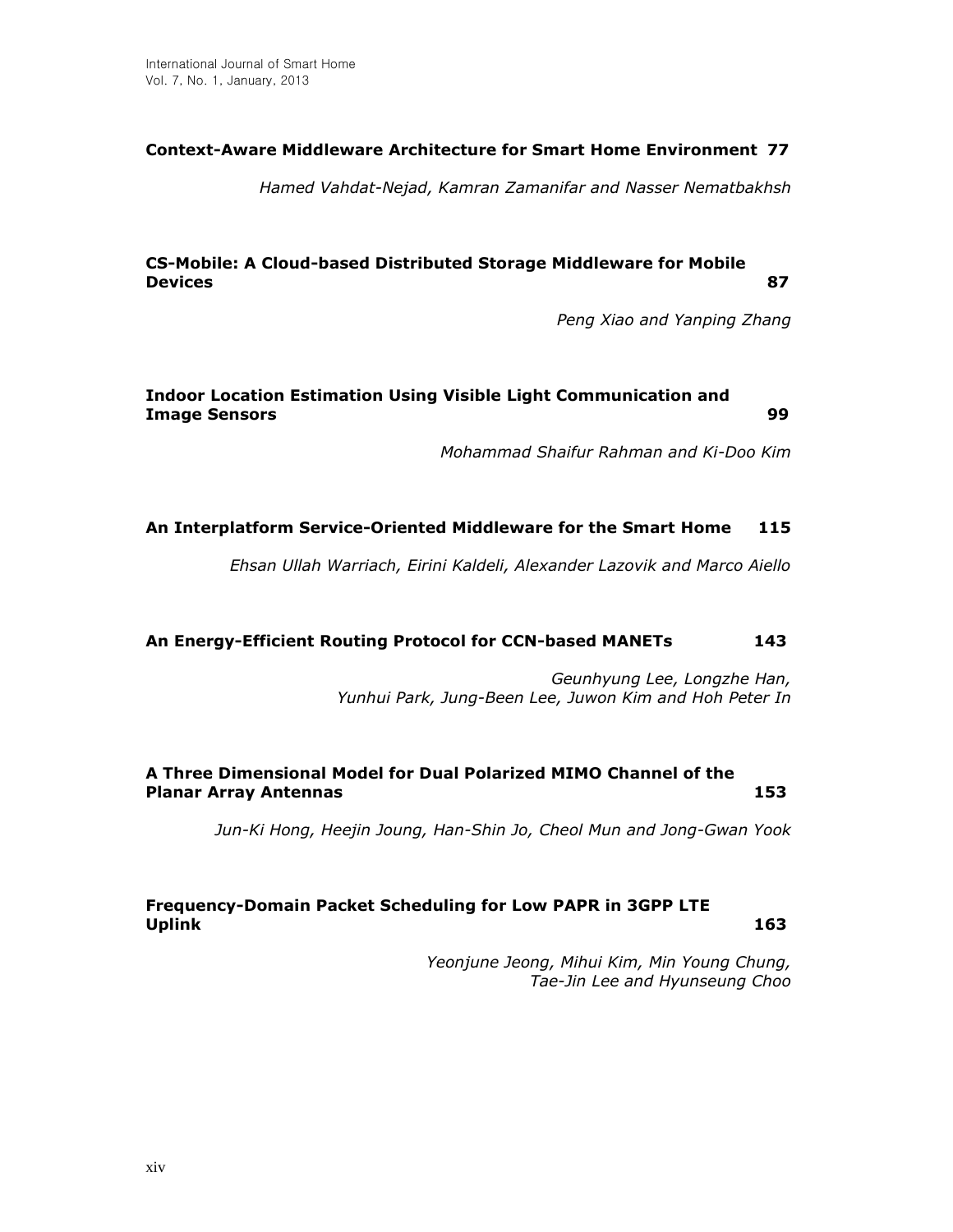## **Context-Aware Middleware Architecture for Smart Home Environment 77**

*Hamed Vahdat-Nejad, Kamran Zamanifar and Nasser Nematbakhsh*

## **CS-Mobile: A Cloud-based Distributed Storage Middleware for Mobile Devices 87**

*Peng Xiao and Yanping Zhang*

## **Indoor Location Estimation Using Visible Light Communication and Image Sensors 99**

*Mohammad Shaifur Rahman and Ki-Doo Kim*

## **An Interplatform Service-Oriented Middleware for the Smart Home 115**

*Ehsan Ullah Warriach, Eirini Kaldeli, Alexander Lazovik and Marco Aiello*

#### **An Energy-Efficient Routing Protocol for CCN-based MANETs 143**

*Geunhyung Lee, Longzhe Han, Yunhui Park, Jung-Been Lee, Juwon Kim and Hoh Peter In*

## **A Three Dimensional Model for Dual Polarized MIMO Channel of the Planar Array Antennas 153**

*Jun-Ki Hong, Heejin Joung, Han-Shin Jo, Cheol Mun and Jong-Gwan Yook*

## **Frequency-Domain Packet Scheduling for Low PAPR in 3GPP LTE Uplink 163**

*Yeonjune Jeong, Mihui Kim, Min Young Chung, Tae-Jin Lee and Hyunseung Choo*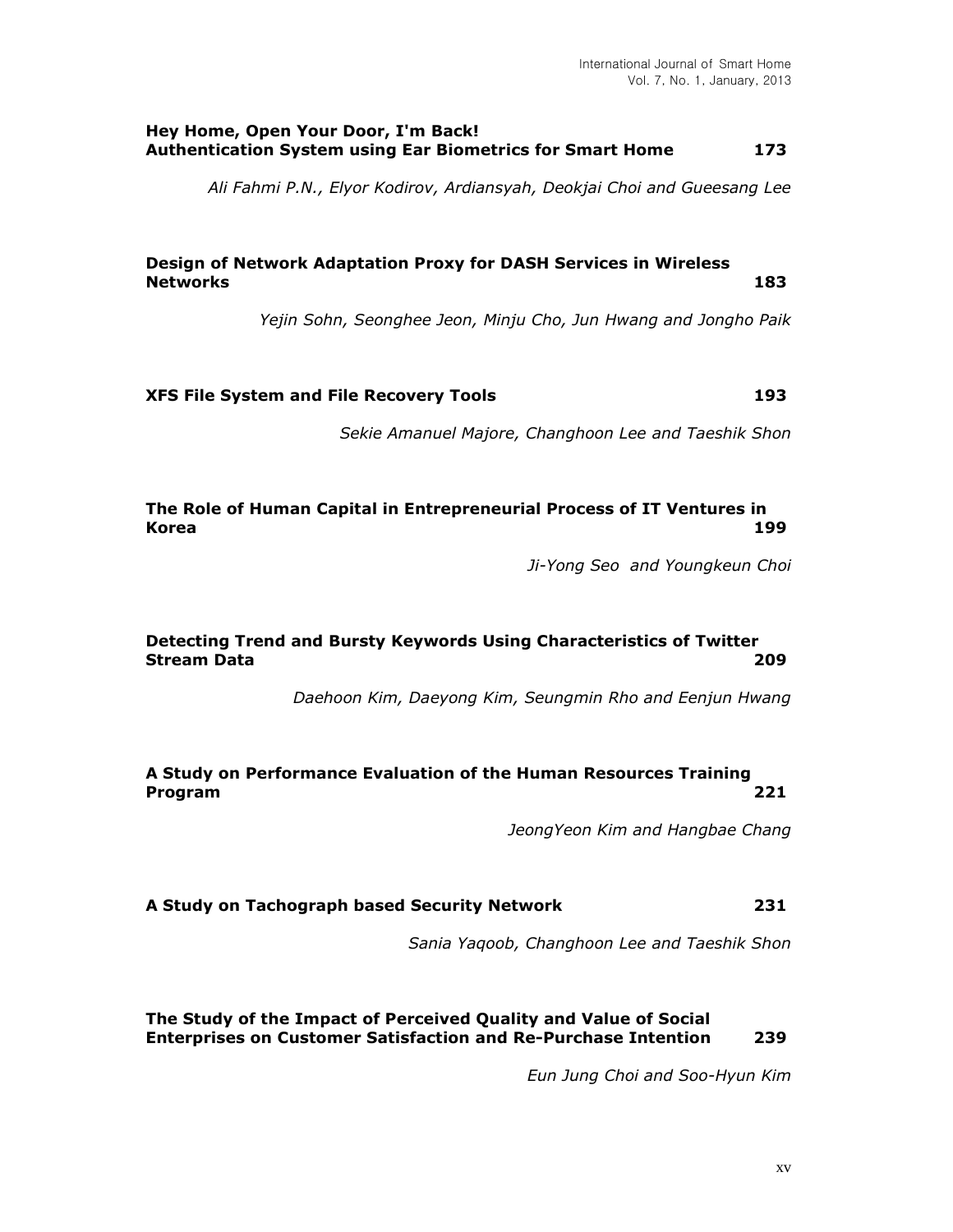#### **Hey Home, Open Your Door, I'm Back! Authentication System using Ear Biometrics for Smart Home 173**

*Ali Fahmi P.N., Elyor Kodirov, Ardiansyah, Deokjai Choi and Gueesang Lee*

## **Design of Network Adaptation Proxy for DASH Services in Wireless Networks 183**

*Yejin Sohn, Seonghee Jeon, Minju Cho, Jun Hwang and Jongho Paik*

## **XFS File System and File Recovery Tools 193**

*Sekie Amanuel Majore, Changhoon Lee and Taeshik Shon*

#### **The Role of Human Capital in Entrepreneurial Process of IT Ventures in Korea 199**

*Ji-Yong Seo and Youngkeun Choi*

## **Detecting Trend and Bursty Keywords Using Characteristics of Twitter Stream Data 209**

*Daehoon Kim, Daeyong Kim, Seungmin Rho and Eenjun Hwang*

## **A Study on Performance Evaluation of the Human Resources Training Program 221**

*JeongYeon Kim and Hangbae Chang*

#### **A Study on Tachograph based Security Network 231**

*Sania Yaqoob, Changhoon Lee and Taeshik Shon*

## **The Study of the Impact of Perceived Quality and Value of Social Enterprises on Customer Satisfaction and Re-Purchase Intention 239**

*Eun Jung Choi and Soo-Hyun Kim*